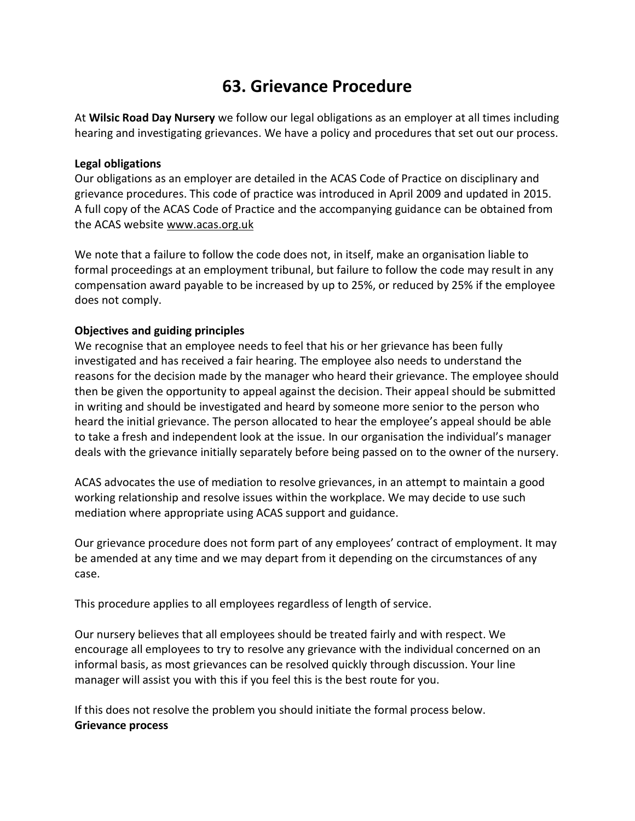# **63. Grievance Procedure**

At **Wilsic Road Day Nursery** we follow our legal obligations as an employer at all times including hearing and investigating grievances. We have a policy and procedures that set out our process.

#### **Legal obligations**

Our obligations as an employer are detailed in the ACAS Code of Practice on disciplinary and grievance procedures. This code of practice was introduced in April 2009 and updated in 2015. A full copy of the ACAS Code of Practice and the accompanying guidance can be obtained from the ACAS website [www.acas.org.uk](http://www.acas.org.uk/)

We note that a failure to follow the code does not, in itself, make an organisation liable to formal proceedings at an employment tribunal, but failure to follow the code may result in any compensation award payable to be increased by up to 25%, or reduced by 25% if the employee does not comply.

#### **Objectives and guiding principles**

We recognise that an employee needs to feel that his or her grievance has been fully investigated and has received a fair hearing. The employee also needs to understand the reasons for the decision made by the manager who heard their grievance. The employee should then be given the opportunity to appeal against the decision. Their appeal should be submitted in writing and should be investigated and heard by someone more senior to the person who heard the initial grievance. The person allocated to hear the employee's appeal should be able to take a fresh and independent look at the issue. In our organisation the individual's manager deals with the grievance initially separately before being passed on to the owner of the nursery.

ACAS advocates the use of mediation to resolve grievances, in an attempt to maintain a good working relationship and resolve issues within the workplace. We may decide to use such mediation where appropriate using ACAS support and guidance.

Our grievance procedure does not form part of any employees' contract of employment. It may be amended at any time and we may depart from it depending on the circumstances of any case.

This procedure applies to all employees regardless of length of service.

Our nursery believes that all employees should be treated fairly and with respect. We encourage all employees to try to resolve any grievance with the individual concerned on an informal basis, as most grievances can be resolved quickly through discussion. Your line manager will assist you with this if you feel this is the best route for you.

If this does not resolve the problem you should initiate the formal process below. **Grievance process**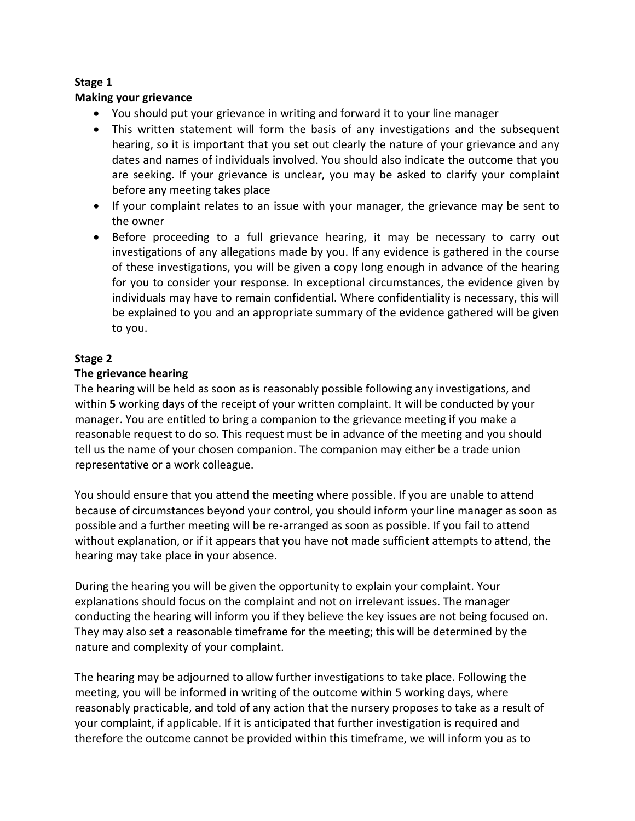# **Stage 1**

## **Making your grievance**

- You should put your grievance in writing and forward it to your line manager
- This written statement will form the basis of any investigations and the subsequent hearing, so it is important that you set out clearly the nature of your grievance and any dates and names of individuals involved. You should also indicate the outcome that you are seeking. If your grievance is unclear, you may be asked to clarify your complaint before any meeting takes place
- If your complaint relates to an issue with your manager, the grievance may be sent to the owner
- Before proceeding to a full grievance hearing, it may be necessary to carry out investigations of any allegations made by you. If any evidence is gathered in the course of these investigations, you will be given a copy long enough in advance of the hearing for you to consider your response. In exceptional circumstances, the evidence given by individuals may have to remain confidential. Where confidentiality is necessary, this will be explained to you and an appropriate summary of the evidence gathered will be given to you.

# **Stage 2**

## **The grievance hearing**

The hearing will be held as soon as is reasonably possible following any investigations, and within **5** working days of the receipt of your written complaint. It will be conducted by your manager. You are entitled to bring a companion to the grievance meeting if you make a reasonable request to do so. This request must be in advance of the meeting and you should tell us the name of your chosen companion. The companion may either be a trade union representative or a work colleague.

You should ensure that you attend the meeting where possible. If you are unable to attend because of circumstances beyond your control, you should inform your line manager as soon as possible and a further meeting will be re-arranged as soon as possible. If you fail to attend without explanation, or if it appears that you have not made sufficient attempts to attend, the hearing may take place in your absence.

During the hearing you will be given the opportunity to explain your complaint. Your explanations should focus on the complaint and not on irrelevant issues. The manager conducting the hearing will inform you if they believe the key issues are not being focused on. They may also set a reasonable timeframe for the meeting; this will be determined by the nature and complexity of your complaint.

The hearing may be adjourned to allow further investigations to take place. Following the meeting, you will be informed in writing of the outcome within 5 working days, where reasonably practicable, and told of any action that the nursery proposes to take as a result of your complaint, if applicable. If it is anticipated that further investigation is required and therefore the outcome cannot be provided within this timeframe, we will inform you as to